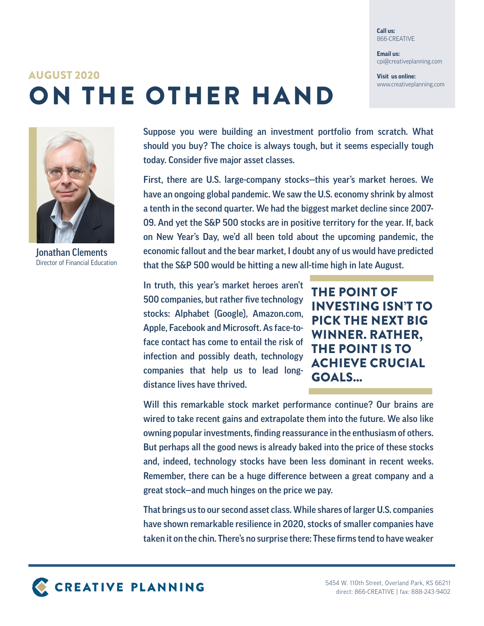**Call us:** 866-CREATIVE

**Email us:** cpi@creativeplanning.com

**Visit us online:** www.creativeplanning.com

## ON THE OTHER HAND AUGUST 2020



Jonathan Clements Director of Financial Education

Suppose you were building an investment portfolio from scratch. What should you buy? The choice is always tough, but it seems especially tough today. Consider five major asset classes.

First, there are U.S. large-company stocks—this year's market heroes. We have an ongoing global pandemic. We saw the U.S. economy shrink by almost a tenth in the second quarter. We had the biggest market decline since 2007- 09. And yet the S&P 500 stocks are in positive territory for the year. If, back on New Year's Day, we'd all been told about the upcoming pandemic, the economic fallout and the bear market, I doubt any of us would have predicted that the S&P 500 would be hitting a new all-time high in late August.

In truth, this year's market heroes aren't 500 companies, but rather five technology stocks: Alphabet (Google), Amazon.com, Apple, Facebook and Microsoft. As face-toface contact has come to entail the risk of infection and possibly death, technology companies that help us to lead longdistance lives have thrived.

THE POINT OF INVESTING ISN'T TO PICK THE NEXT BIG WINNER. RATHER, THE POINT IS TO ACHIEVE CRUCIAL GOALS...

Will this remarkable stock market performance continue? Our brains are wired to take recent gains and extrapolate them into the future. We also like owning popular investments, finding reassurance in the enthusiasm of others. But perhaps all the good news is already baked into the price of these stocks and, indeed, technology stocks have been less dominant in recent weeks. Remember, there can be a huge difference between a great company and a great stock—and much hinges on the price we pay.

That brings us to our second asset class. While shares of larger U.S. companies have shown remarkable resilience in 2020, stocks of smaller companies have taken it on the chin. There's no surprise there: These firms tend to have weaker

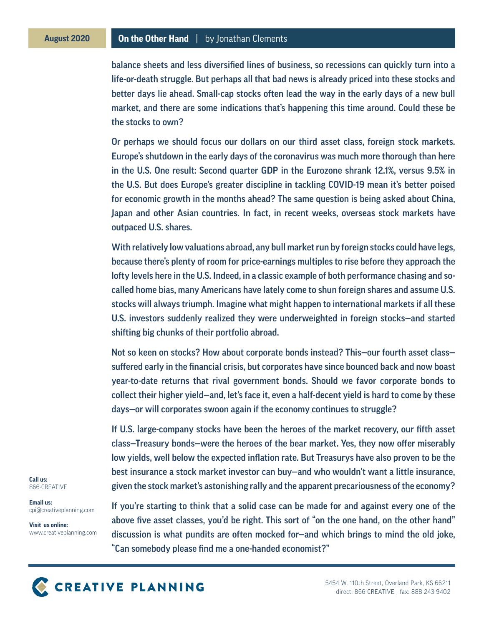## **August 2020 On the Other Hand** | by Jonathan Clements

balance sheets and less diversified lines of business, so recessions can quickly turn into a life-or-death struggle. But perhaps all that bad news is already priced into these stocks and better days lie ahead. Small-cap stocks often lead the way in the early days of a new bull market, and there are some indications that's happening this time around. Could these be the stocks to own?

Or perhaps we should focus our dollars on our third asset class, foreign stock markets. Europe's shutdown in the early days of the coronavirus was much more thorough than here in the U.S. One result: Second quarter GDP in the Eurozone shrank 12.1%, versus 9.5% in the U.S. But does Europe's greater discipline in tackling COVID-19 mean it's better poised for economic growth in the months ahead? The same question is being asked about China, Japan and other Asian countries. In fact, in recent weeks, overseas stock markets have outpaced U.S. shares.

With relatively low valuations abroad, any bull market run by foreign stocks could have legs, because there's plenty of room for price-earnings multiples to rise before they approach the lofty levels here in the U.S. Indeed, in a classic example of both performance chasing and socalled home bias, many Americans have lately come to shun foreign shares and assume U.S. stocks will always triumph. Imagine what might happen to international markets if all these U.S. investors suddenly realized they were underweighted in foreign stocks—and started shifting big chunks of their portfolio abroad.

Not so keen on stocks? How about corporate bonds instead? This—our fourth asset class suffered early in the financial crisis, but corporates have since bounced back and now boast year-to-date returns that rival government bonds. Should we favor corporate bonds to collect their higher yield—and, let's face it, even a half-decent yield is hard to come by these days—or will corporates swoon again if the economy continues to struggle?

If U.S. large-company stocks have been the heroes of the market recovery, our fifth asset class—Treasury bonds—were the heroes of the bear market. Yes, they now offer miserably low yields, well below the expected inflation rate. But Treasurys have also proven to be the best insurance a stock market investor can buy—and who wouldn't want a little insurance, given the stock market's astonishing rally and the apparent precariousness of the economy?

If you're starting to think that a solid case can be made for and against every one of the above five asset classes, you'd be right. This sort of "on the one hand, on the other hand" discussion is what pundits are often mocked for—and which brings to mind the old joke, "Can somebody please find me a one-handed economist?"

**Call us:** 866-CREATIVE

**Email us:** cpi@creativeplanning.com

**Visit us online:** www.creativeplanning.com